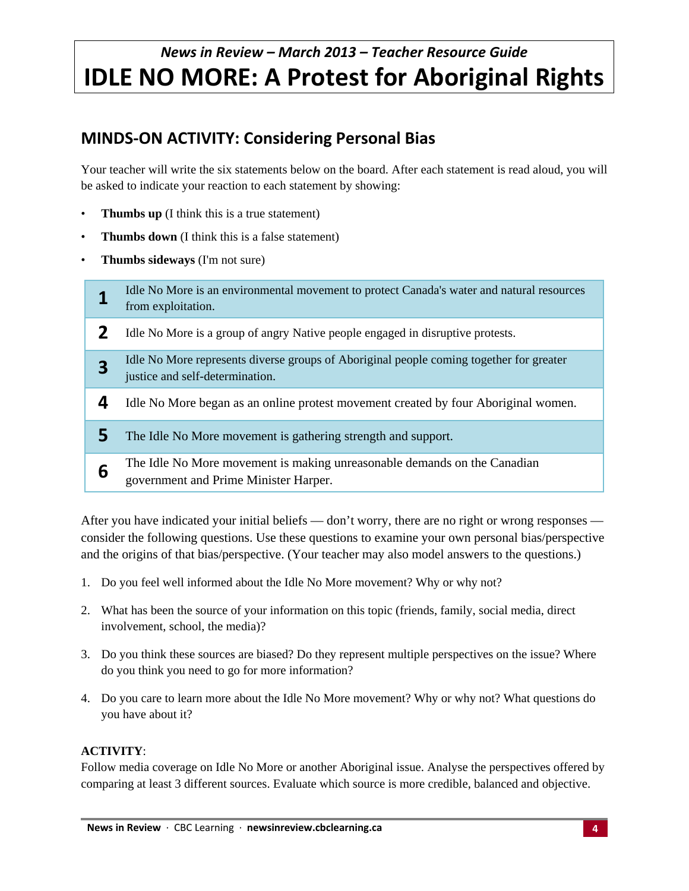# *News in Review – March 2013 – Teacher Resource Guide* **IDLE NO MORE: A Protest for Aboriginal Rights**

# **MINDS‐ON ACTIVITY: Considering Personal Bias**

Your teacher will write the six statements below on the board. After each statement is read aloud, you will be asked to indicate your reaction to each statement by showing:

- **Thumbs up** (I think this is a true statement)
- **Thumbs down** (I think this is a false statement)
- **Thumbs sideways** (I'm not sure)
	- **1** Idle No More is an environmental movement to protect Canada's water and natural resources from exploitation.
	- **2** Idle No More is a group of angry Native people engaged in disruptive protests.
	- **3** Idle No More represents diverse groups of Aboriginal people coming together for greater justice and self-determination.
	- **4** Idle No More began as an online protest movement created by four Aboriginal women.
	- **5** The Idle No More movement is gathering strength and support.
	- **6** The Idle No More movement is making unreasonable demands on the Canadian government and Prime Minister Harper.

After you have indicated your initial beliefs — don't worry, there are no right or wrong responses consider the following questions. Use these questions to examine your own personal bias/perspective and the origins of that bias/perspective. (Your teacher may also model answers to the questions.)

- 1. Do you feel well informed about the Idle No More movement? Why or why not?
- 2. What has been the source of your information on this topic (friends, family, social media, direct involvement, school, the media)?
- 3. Do you think these sources are biased? Do they represent multiple perspectives on the issue? Where do you think you need to go for more information?
- 4. Do you care to learn more about the Idle No More movement? Why or why not? What questions do you have about it?

#### **ACTIVITY**:

Follow media coverage on Idle No More or another Aboriginal issue. Analyse the perspectives offered by comparing at least 3 different sources. Evaluate which source is more credible, balanced and objective.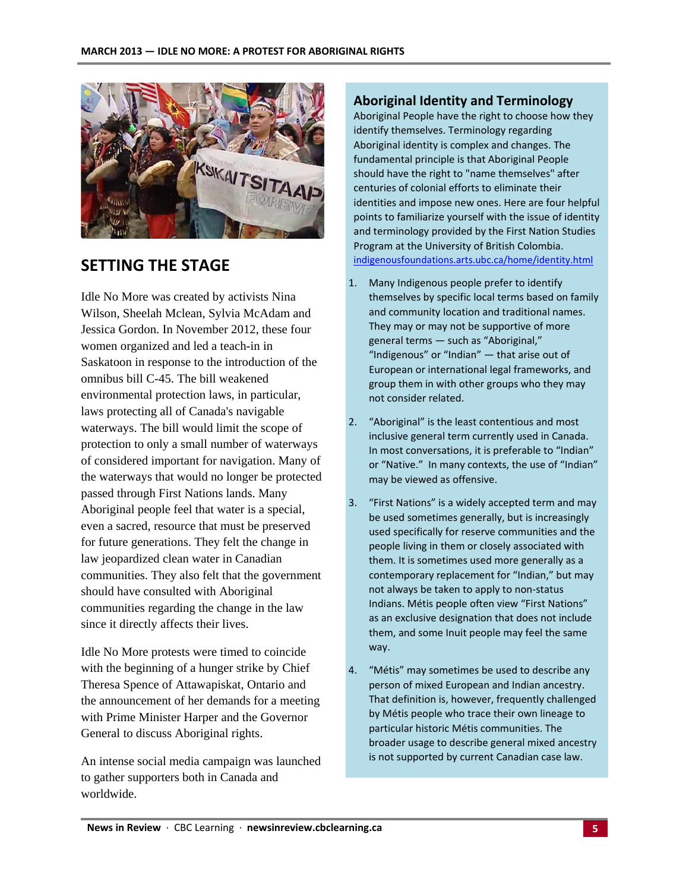

# **SETTING THE STAGE**

Idle No More was created by activists Nina Wilson, Sheelah Mclean, Sylvia McAdam and Jessica Gordon. In November 2012, these four women organized and led a teach-in in Saskatoon in response to the introduction of the omnibus bill C-45. The bill weakened environmental protection laws, in particular, laws protecting all of Canada's navigable waterways. The bill would limit the scope of protection to only a small number of waterways of considered important for navigation. Many of the waterways that would no longer be protected passed through First Nations lands. Many Aboriginal people feel that water is a special, even a sacred, resource that must be preserved for future generations. They felt the change in law jeopardized clean water in Canadian communities. They also felt that the government should have consulted with Aboriginal communities regarding the change in the law since it directly affects their lives.

Idle No More protests were timed to coincide with the beginning of a hunger strike by Chief Theresa Spence of Attawapiskat, Ontario and the announcement of her demands for a meeting with Prime Minister Harper and the Governor General to discuss Aboriginal rights.

An intense social media campaign was launched to gather supporters both in Canada and worldwide.

### **Aboriginal Identity and Terminology**

Aboriginal People have the right to choose how they identify themselves. Terminology regarding Aboriginal identity is complex and changes. The fundamental principle is that Aboriginal People should have the right to "name themselves" after centuries of colonial efforts to eliminate their identities and impose new ones. Here are four helpful points to familiarize yourself with the issue of identity and terminology provided by the First Nation Studies Program at the University of British Colombia. indigenousfoundations.arts.ubc.ca/home/identity.html

- 1. Many Indigenous people prefer to identify themselves by specific local terms based on family and community location and traditional names. They may or may not be supportive of more general terms — such as "Aboriginal," "Indigenous" or "Indian" — that arise out of European or international legal frameworks, and group them in with other groups who they may not consider related.
- 2. "Aboriginal" is the least contentious and most inclusive general term currently used in Canada. In most conversations, it is preferable to "Indian" or "Native." In many contexts, the use of "Indian" may be viewed as offensive.
- 3. "First Nations" is a widely accepted term and may be used sometimes generally, but is increasingly used specifically for reserve communities and the people living in them or closely associated with them. It is sometimes used more generally as a contemporary replacement for "Indian," but may not always be taken to apply to non‐status Indians. Métis people often view "First Nations" as an exclusive designation that does not include them, and some Inuit people may feel the same way.
- 4. "Métis" may sometimes be used to describe any person of mixed European and Indian ancestry. That definition is, however, frequently challenged by Métis people who trace their own lineage to particular historic Métis communities. The broader usage to describe general mixed ancestry is not supported by current Canadian case law.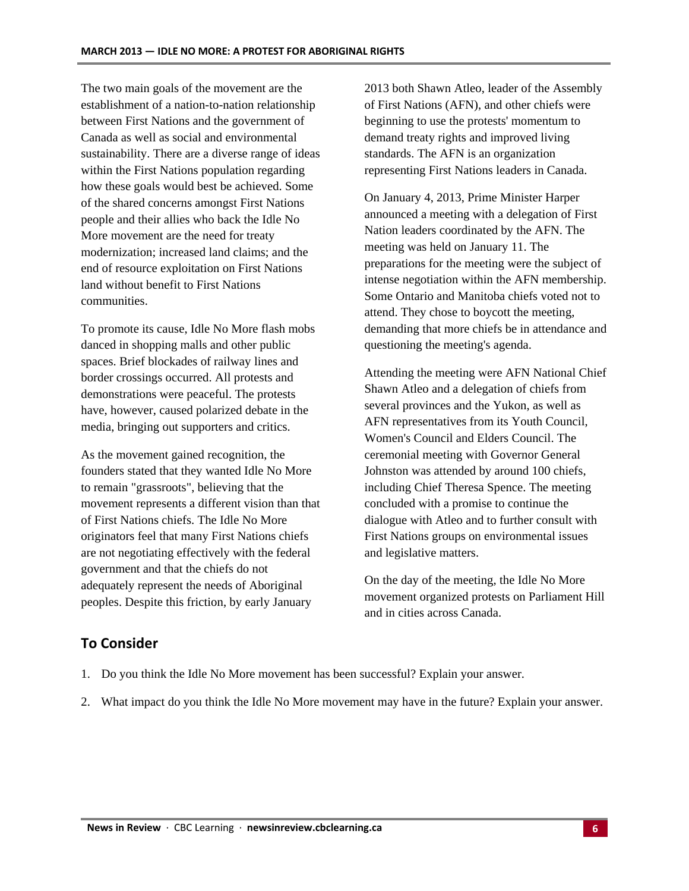The two main goals of the movement are the establishment of a nation-to-nation relationship between First Nations and the government of Canada as well as social and environmental sustainability. There are a diverse range of ideas within the First Nations population regarding how these goals would best be achieved. Some of the shared concerns amongst First Nations people and their allies who back the Idle No More movement are the need for treaty modernization; increased land claims; and the end of resource exploitation on First Nations land without benefit to First Nations communities.

To promote its cause, Idle No More flash mobs danced in shopping malls and other public spaces. Brief blockades of railway lines and border crossings occurred. All protests and demonstrations were peaceful. The protests have, however, caused polarized debate in the media, bringing out supporters and critics.

As the movement gained recognition, the founders stated that they wanted Idle No More to remain "grassroots", believing that the movement represents a different vision than that of First Nations chiefs. The Idle No More originators feel that many First Nations chiefs are not negotiating effectively with the federal government and that the chiefs do not adequately represent the needs of Aboriginal peoples. Despite this friction, by early January

2013 both Shawn Atleo, leader of the Assembly of First Nations (AFN), and other chiefs were beginning to use the protests' momentum to demand treaty rights and improved living standards. The AFN is an organization representing First Nations leaders in Canada.

On January 4, 2013, Prime Minister Harper announced a meeting with a delegation of First Nation leaders coordinated by the AFN. The meeting was held on January 11. The preparations for the meeting were the subject of intense negotiation within the AFN membership. Some Ontario and Manitoba chiefs voted not to attend. They chose to boycott the meeting, demanding that more chiefs be in attendance and questioning the meeting's agenda.

Attending the meeting were AFN National Chief Shawn Atleo and a delegation of chiefs from several provinces and the Yukon, as well as AFN representatives from its Youth Council, Women's Council and Elders Council. The ceremonial meeting with Governor General Johnston was attended by around 100 chiefs, including Chief Theresa Spence. The meeting concluded with a promise to continue the dialogue with Atleo and to further consult with First Nations groups on environmental issues and legislative matters.

On the day of the meeting, the Idle No More movement organized protests on Parliament Hill and in cities across Canada.

### **To Consider**

- 1. Do you think the Idle No More movement has been successful? Explain your answer.
- 2. What impact do you think the Idle No More movement may have in the future? Explain your answer.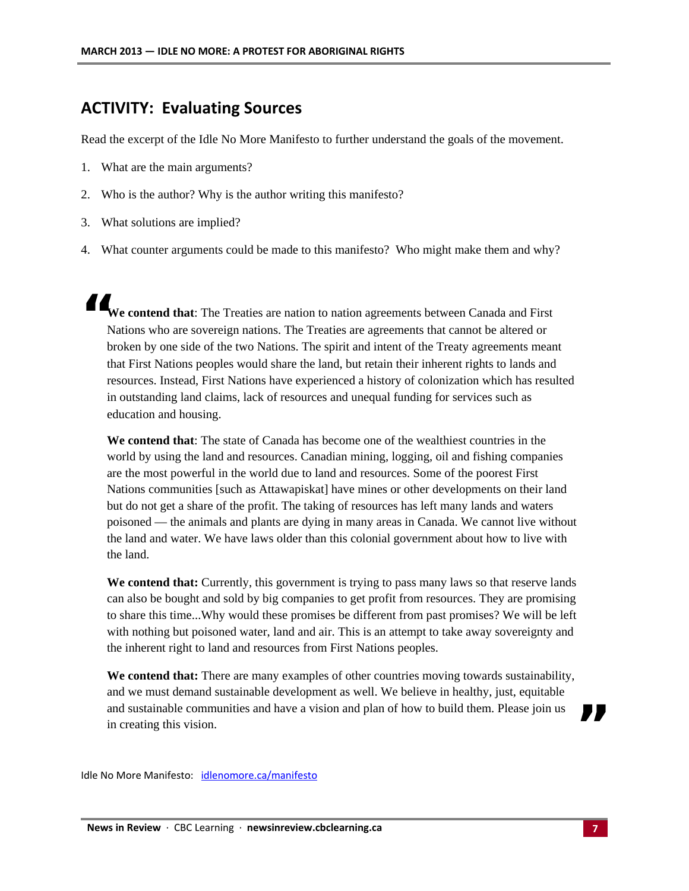## **ACTIVITY: Evaluating Sources**

Read the excerpt of the Idle No More Manifesto to further understand the goals of the movement.

- 1. What are the main arguments?
- 2. Who is the author? Why is the author writing this manifesto?
- 3. What solutions are implied?
- 4. What counter arguments could be made to this manifesto? Who might make them and why?

**"We contend that**: The Treaties are nation to nation agreements between Canada and First Nations who are sovereign nations. The Treaties are agreements that cannot be altered or broken by one side of the two Nations. The spirit and intent of the Treaty agreements meant that First Nations peoples would share the land, but retain their inherent rights to lands and resources. Instead, First Nations have experienced a history of colonization which has resulted in outstanding land claims, lack of resources and unequal funding for services such as education and housing.

**We contend that**: The state of Canada has become one of the wealthiest countries in the world by using the land and resources. Canadian mining, logging, oil and fishing companies are the most powerful in the world due to land and resources. Some of the poorest First Nations communities [such as Attawapiskat] have mines or other developments on their land but do not get a share of the profit. The taking of resources has left many lands and waters poisoned — the animals and plants are dying in many areas in Canada. We cannot live without the land and water. We have laws older than this colonial government about how to live with the land.

**We contend that:** Currently, this government is trying to pass many laws so that reserve lands can also be bought and sold by big companies to get profit from resources. They are promising to share this time...Why would these promises be different from past promises? We will be left with nothing but poisoned water, land and air. This is an attempt to take away sovereignty and the inherent right to land and resources from First Nations peoples.

**We contend that:** There are many examples of other countries moving towards sustainability, and we must demand sustainable development as well. We believe in healthy, just, equitable and sustainable communities and have a vision and plan of how to build them. Please join us in creating this vision.

Idle No More Manifesto: idlenomore.ca/manifesto

**"**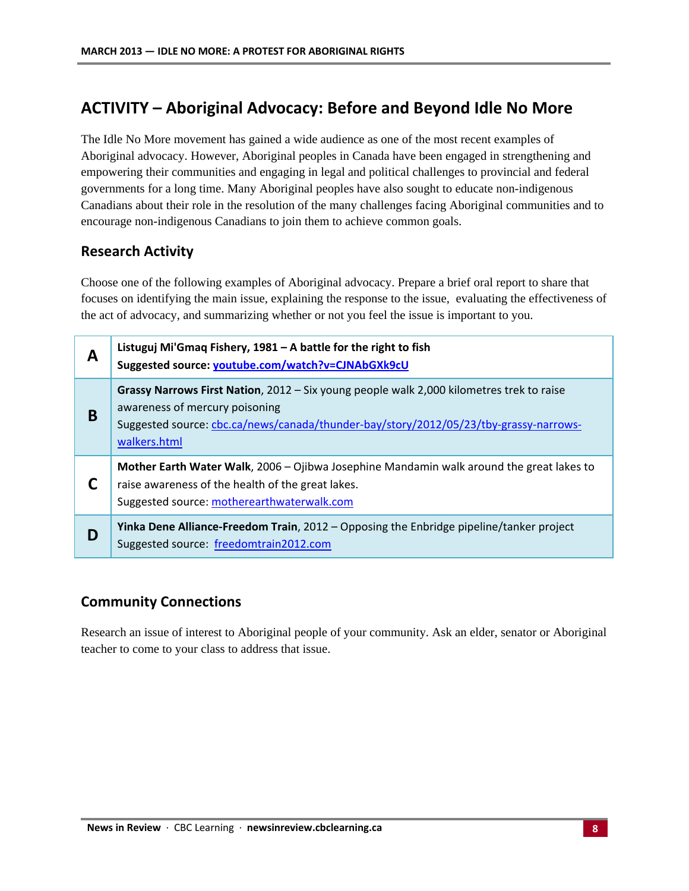# **ACTIVITY – Aboriginal Advocacy: Before and Beyond Idle No More**

The Idle No More movement has gained a wide audience as one of the most recent examples of Aboriginal advocacy. However, Aboriginal peoples in Canada have been engaged in strengthening and empowering their communities and engaging in legal and political challenges to provincial and federal governments for a long time. Many Aboriginal peoples have also sought to educate non-indigenous Canadians about their role in the resolution of the many challenges facing Aboriginal communities and to encourage non-indigenous Canadians to join them to achieve common goals.

### **Research Activity**

Choose one of the following examples of Aboriginal advocacy. Prepare a brief oral report to share that focuses on identifying the main issue, explaining the response to the issue, evaluating the effectiveness of the act of advocacy, and summarizing whether or not you feel the issue is important to you.

| A | Listuguj Mi'Gmaq Fishery, $1981 - A$ battle for the right to fish<br>Suggested source: youtube.com/watch?v=CJNAbGXk9cU                                                                                                              |
|---|-------------------------------------------------------------------------------------------------------------------------------------------------------------------------------------------------------------------------------------|
| B | Grassy Narrows First Nation, 2012 - Six young people walk 2,000 kilometres trek to raise<br>awareness of mercury poisoning<br>Suggested source: cbc.ca/news/canada/thunder-bay/story/2012/05/23/tby-grassy-narrows-<br>walkers.html |
|   | Mother Earth Water Walk, 2006 – Ojibwa Josephine Mandamin walk around the great lakes to<br>raise awareness of the health of the great lakes.<br>Suggested source: motherearthwaterwalk.com                                         |
| D | Yinka Dene Alliance-Freedom Train, 2012 – Opposing the Enbridge pipeline/tanker project<br>Suggested source: freedomtrain2012.com                                                                                                   |

### **Community Connections**

Research an issue of interest to Aboriginal people of your community. Ask an elder, senator or Aboriginal teacher to come to your class to address that issue.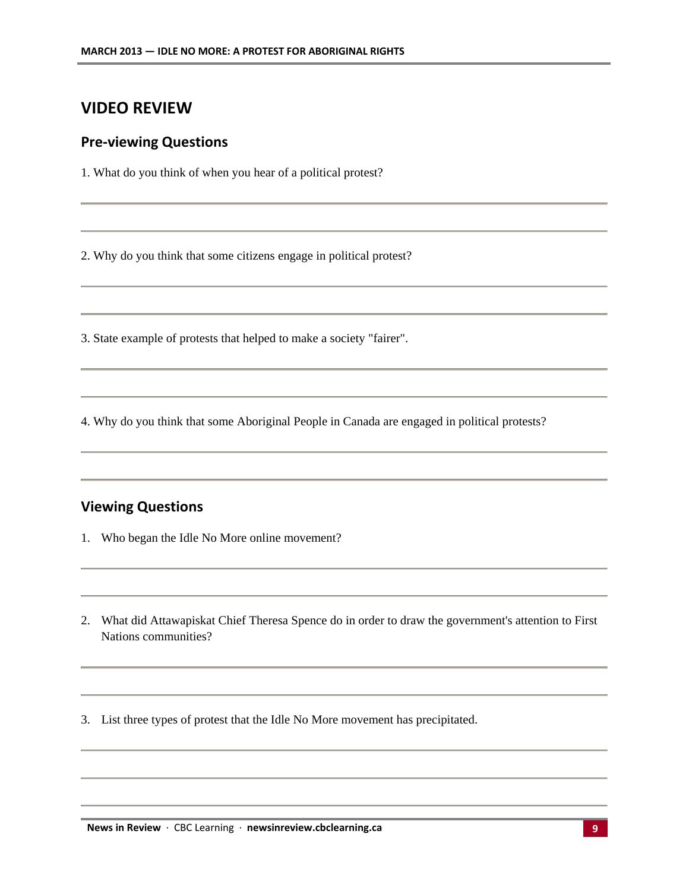## **VIDEO REVIEW**

#### **Pre‐viewing Questions**

1. What do you think of when you hear of a political protest?

2. Why do you think that some citizens engage in political protest?

3. State example of protests that helped to make a society "fairer".

4. Why do you think that some Aboriginal People in Canada are engaged in political protests?

<u> 1989 - Johann Barbara, martxa alemaniar a</u>

### **Viewing Questions**

- 1. Who began the Idle No More online movement?
- 2. What did Attawapiskat Chief Theresa Spence do in order to draw the government's attention to First Nations communities?

3. List three types of protest that the Idle No More movement has precipitated.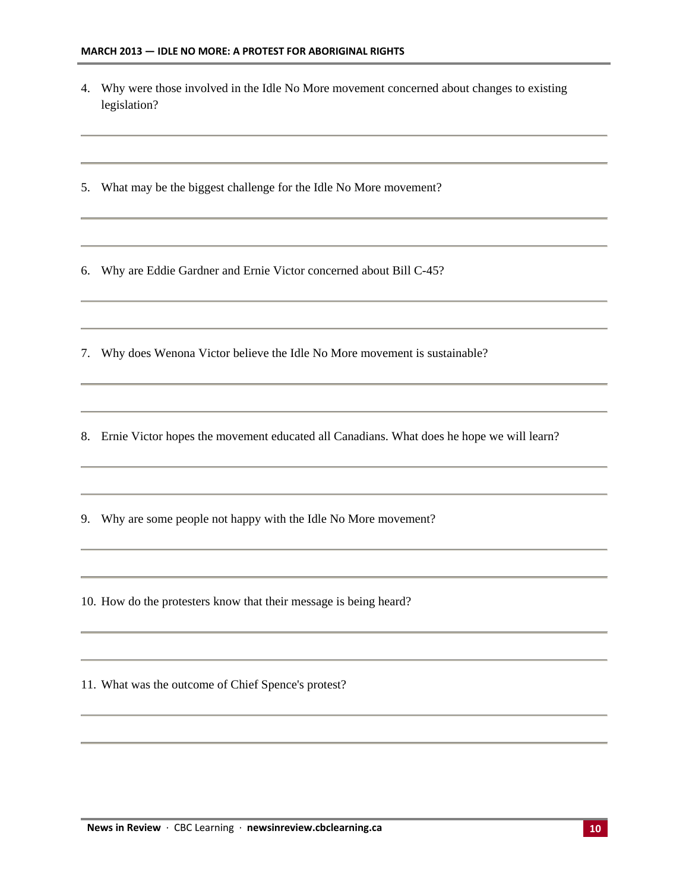- 4. Why were those involved in the Idle No More movement concerned about changes to existing legislation?
- 5. What may be the biggest challenge for the Idle No More movement?

6. Why are Eddie Gardner and Ernie Victor concerned about Bill C-45?

7. Why does Wenona Victor believe the Idle No More movement is sustainable?

8. Ernie Victor hopes the movement educated all Canadians. What does he hope we will learn?

9. Why are some people not happy with the Idle No More movement?

10. How do the protesters know that their message is being heard?

11. What was the outcome of Chief Spence's protest?